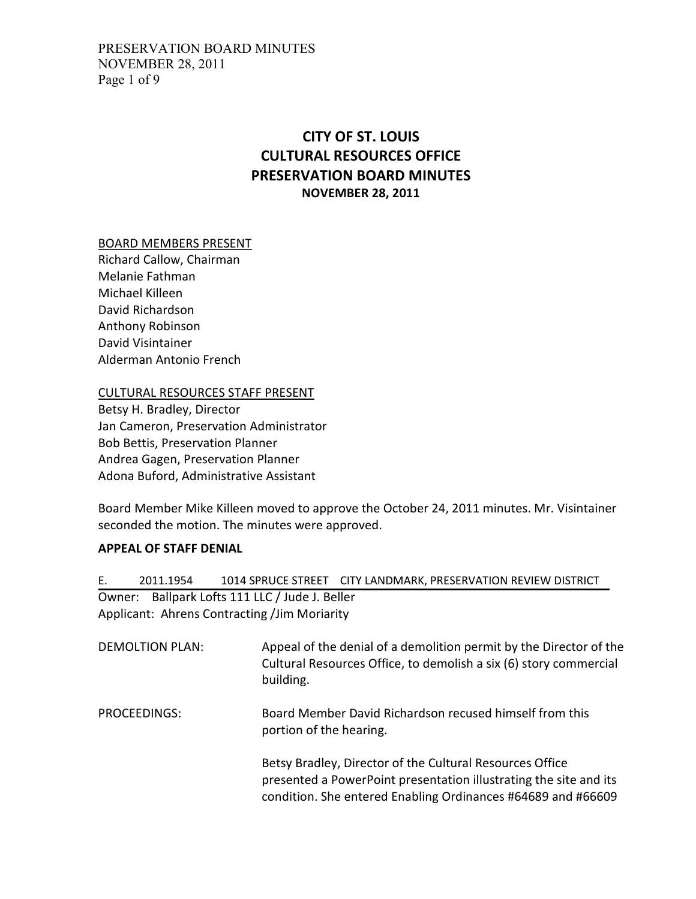# CITY OF ST. LOUIS CULTURAL RESOURCES OFFICE PRESERVATION BOARD MINUTES NOVEMBER 28, 2011

# BOARD MEMBERS PRESENT

Richard Callow, Chairman Melanie Fathman Michael Killeen David Richardson Anthony Robinson David Visintainer Alderman Antonio French

CULTURAL RESOURCES STAFF PRESENT

Betsy H. Bradley, Director Jan Cameron, Preservation Administrator Bob Bettis, Preservation Planner Andrea Gagen, Preservation Planner Adona Buford, Administrative Assistant

Board Member Mike Killeen moved to approve the October 24, 2011 minutes. Mr. Visintainer seconded the motion. The minutes were approved.

#### APPEAL OF STAFF DENIAL

E. 2011.1954 1014 SPRUCE STREET CITY LANDMARK, PRESERVATION REVIEW DISTRICT Owner: Ballpark Lofts 111 LLC / Jude J. Beller Applicant: Ahrens Contracting /Jim Moriarity

- DEMOLTION PLAN: Appeal of the denial of a demolition permit by the Director of the Cultural Resources Office, to demolish a six (6) story commercial building.
- PROCEEDINGS: Board Member David Richardson recused himself from this portion of the hearing.

Betsy Bradley, Director of the Cultural Resources Office presented a PowerPoint presentation illustrating the site and its condition. She entered Enabling Ordinances #64689 and #66609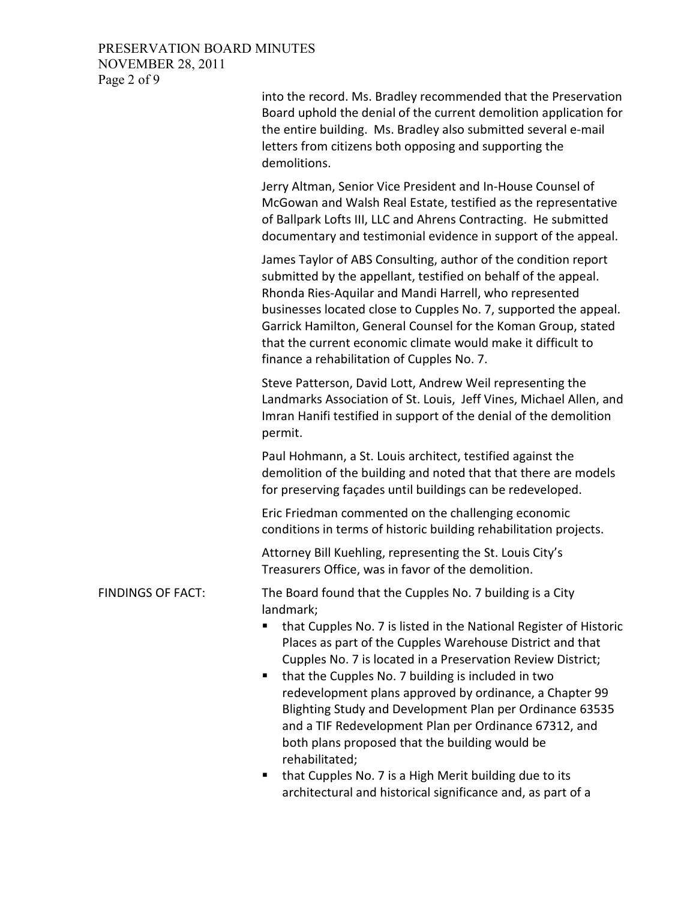# PRESERVATION BOARD MINUTES NOVEMBER 28, 2011 Page 2 of 9

|                          | into the record. Ms. Bradley recommended that the Preservation<br>Board uphold the denial of the current demolition application for<br>the entire building. Ms. Bradley also submitted several e-mail<br>letters from citizens both opposing and supporting the<br>demolitions.                                                                                                                                                                                                                                                                                                   |
|--------------------------|-----------------------------------------------------------------------------------------------------------------------------------------------------------------------------------------------------------------------------------------------------------------------------------------------------------------------------------------------------------------------------------------------------------------------------------------------------------------------------------------------------------------------------------------------------------------------------------|
|                          | Jerry Altman, Senior Vice President and In-House Counsel of<br>McGowan and Walsh Real Estate, testified as the representative<br>of Ballpark Lofts III, LLC and Ahrens Contracting. He submitted<br>documentary and testimonial evidence in support of the appeal.                                                                                                                                                                                                                                                                                                                |
|                          | James Taylor of ABS Consulting, author of the condition report<br>submitted by the appellant, testified on behalf of the appeal.<br>Rhonda Ries-Aquilar and Mandi Harrell, who represented<br>businesses located close to Cupples No. 7, supported the appeal.<br>Garrick Hamilton, General Counsel for the Koman Group, stated<br>that the current economic climate would make it difficult to<br>finance a rehabilitation of Cupples No. 7.                                                                                                                                     |
|                          | Steve Patterson, David Lott, Andrew Weil representing the<br>Landmarks Association of St. Louis, Jeff Vines, Michael Allen, and<br>Imran Hanifi testified in support of the denial of the demolition<br>permit.                                                                                                                                                                                                                                                                                                                                                                   |
|                          | Paul Hohmann, a St. Louis architect, testified against the<br>demolition of the building and noted that that there are models<br>for preserving façades until buildings can be redeveloped.                                                                                                                                                                                                                                                                                                                                                                                       |
|                          | Eric Friedman commented on the challenging economic<br>conditions in terms of historic building rehabilitation projects.                                                                                                                                                                                                                                                                                                                                                                                                                                                          |
|                          | Attorney Bill Kuehling, representing the St. Louis City's<br>Treasurers Office, was in favor of the demolition.                                                                                                                                                                                                                                                                                                                                                                                                                                                                   |
| <b>FINDINGS OF FACT:</b> | The Board found that the Cupples No. 7 building is a City<br>landmark;<br>that Cupples No. 7 is listed in the National Register of Historic<br>Places as part of the Cupples Warehouse District and that<br>Cupples No. 7 is located in a Preservation Review District;<br>that the Cupples No. 7 building is included in two<br>redevelopment plans approved by ordinance, a Chapter 99<br>Blighting Study and Development Plan per Ordinance 63535<br>and a TIF Redevelopment Plan per Ordinance 67312, and<br>both plans proposed that the building would be<br>rehabilitated; |
|                          |                                                                                                                                                                                                                                                                                                                                                                                                                                                                                                                                                                                   |

 that Cupples No. 7 is a High Merit building due to its architectural and historical significance and, as part of a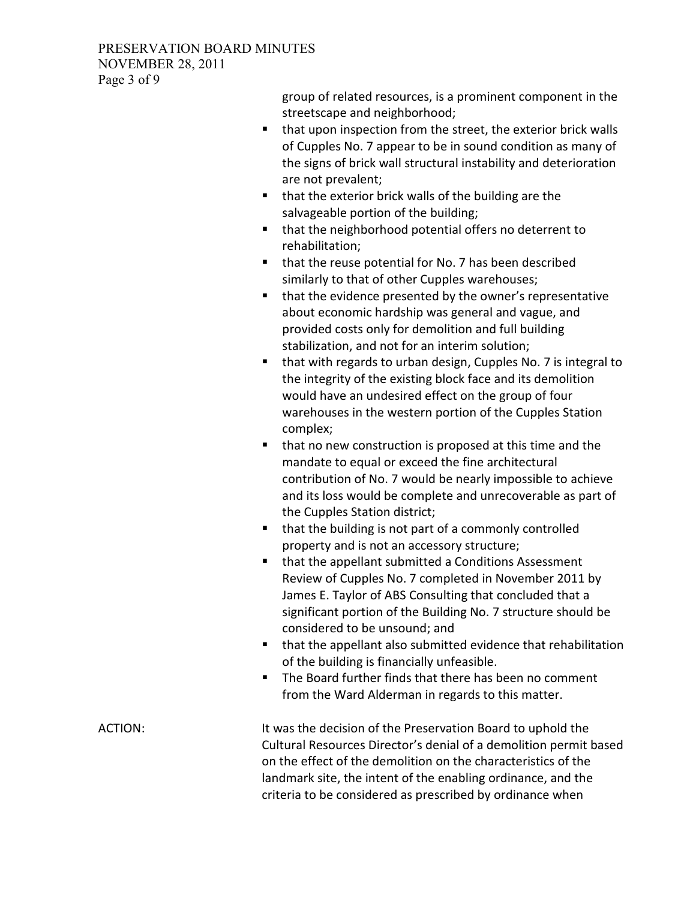# PRESERVATION BOARD MINUTES NOVEMBER 28, 2011 Page 3 of 9

group of related resources, is a prominent component in the streetscape and neighborhood;

- that upon inspection from the street, the exterior brick walls of Cupples No. 7 appear to be in sound condition as many of the signs of brick wall structural instability and deterioration are not prevalent;
- $\blacksquare$  that the exterior brick walls of the building are the salvageable portion of the building;
- that the neighborhood potential offers no deterrent to rehabilitation;
- that the reuse potential for No. 7 has been described similarly to that of other Cupples warehouses;
- **that the evidence presented by the owner's representative** about economic hardship was general and vague, and provided costs only for demolition and full building stabilization, and not for an interim solution;
- that with regards to urban design, Cupples No. 7 is integral to the integrity of the existing block face and its demolition would have an undesired effect on the group of four warehouses in the western portion of the Cupples Station complex;
- **that no new construction is proposed at this time and the** mandate to equal or exceed the fine architectural contribution of No. 7 would be nearly impossible to achieve and its loss would be complete and unrecoverable as part of the Cupples Station district;
- that the building is not part of a commonly controlled property and is not an accessory structure;
- **that the appellant submitted a Conditions Assessment** Review of Cupples No. 7 completed in November 2011 by James E. Taylor of ABS Consulting that concluded that a significant portion of the Building No. 7 structure should be considered to be unsound; and
- that the appellant also submitted evidence that rehabilitation of the building is financially unfeasible.
- **The Board further finds that there has been no comment** from the Ward Alderman in regards to this matter.

ACTION: It was the decision of the Preservation Board to uphold the Cultural Resources Director's denial of a demolition permit based on the effect of the demolition on the characteristics of the landmark site, the intent of the enabling ordinance, and the criteria to be considered as prescribed by ordinance when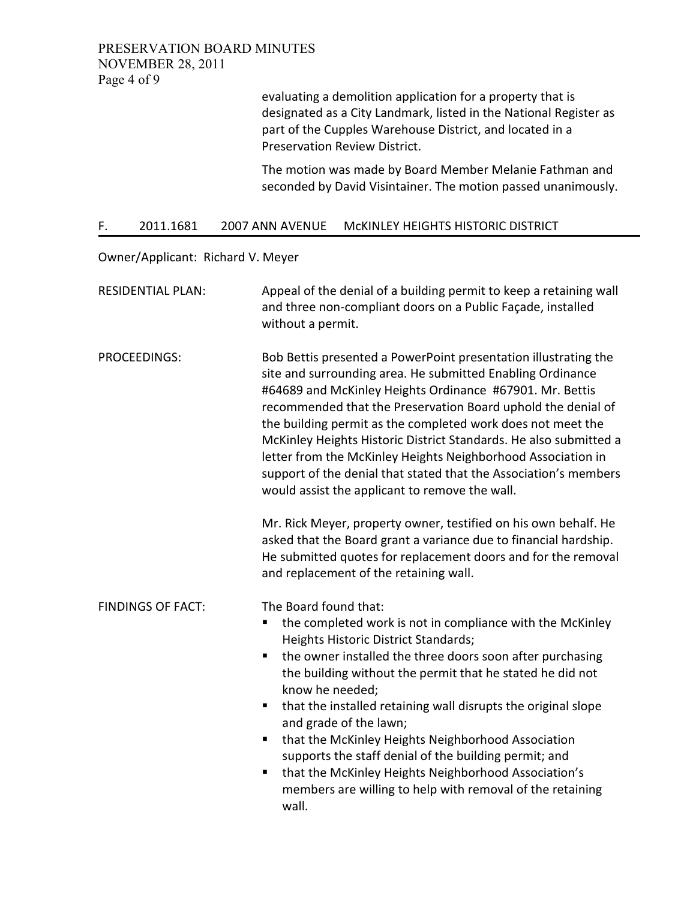evaluating a demolition application for a property that is designated as a City Landmark, listed in the National Register as part of the Cupples Warehouse District, and located in a Preservation Review District.

The motion was made by Board Member Melanie Fathman and seconded by David Visintainer. The motion passed unanimously.

## F. 2011.1681 2007 ANN AVENUE McKINLEY HEIGHTS HISTORIC DISTRICT

Owner/Applicant: Richard V. Meyer

| <b>RESIDENTIAL PLAN:</b> | Appeal of the denial of a building permit to keep a retaining wall<br>and three non-compliant doors on a Public Façade, installed<br>without a permit.                                                                                                                                                                                                                                                                                                                                                                                                                                                                                                                                                                                                                                                                                |
|--------------------------|---------------------------------------------------------------------------------------------------------------------------------------------------------------------------------------------------------------------------------------------------------------------------------------------------------------------------------------------------------------------------------------------------------------------------------------------------------------------------------------------------------------------------------------------------------------------------------------------------------------------------------------------------------------------------------------------------------------------------------------------------------------------------------------------------------------------------------------|
| PROCEEDINGS:             | Bob Bettis presented a PowerPoint presentation illustrating the<br>site and surrounding area. He submitted Enabling Ordinance<br>#64689 and McKinley Heights Ordinance #67901. Mr. Bettis<br>recommended that the Preservation Board uphold the denial of<br>the building permit as the completed work does not meet the<br>McKinley Heights Historic District Standards. He also submitted a<br>letter from the McKinley Heights Neighborhood Association in<br>support of the denial that stated that the Association's members<br>would assist the applicant to remove the wall.<br>Mr. Rick Meyer, property owner, testified on his own behalf. He<br>asked that the Board grant a variance due to financial hardship.<br>He submitted quotes for replacement doors and for the removal<br>and replacement of the retaining wall. |
| <b>FINDINGS OF FACT:</b> | The Board found that:<br>the completed work is not in compliance with the McKinley<br>п<br>Heights Historic District Standards;<br>the owner installed the three doors soon after purchasing<br>the building without the permit that he stated he did not<br>know he needed;<br>that the installed retaining wall disrupts the original slope<br>п<br>and grade of the lawn;<br>that the McKinley Heights Neighborhood Association<br>п<br>supports the staff denial of the building permit; and<br>that the McKinley Heights Neighborhood Association's<br>п<br>members are willing to help with removal of the retaining<br>wall.                                                                                                                                                                                                   |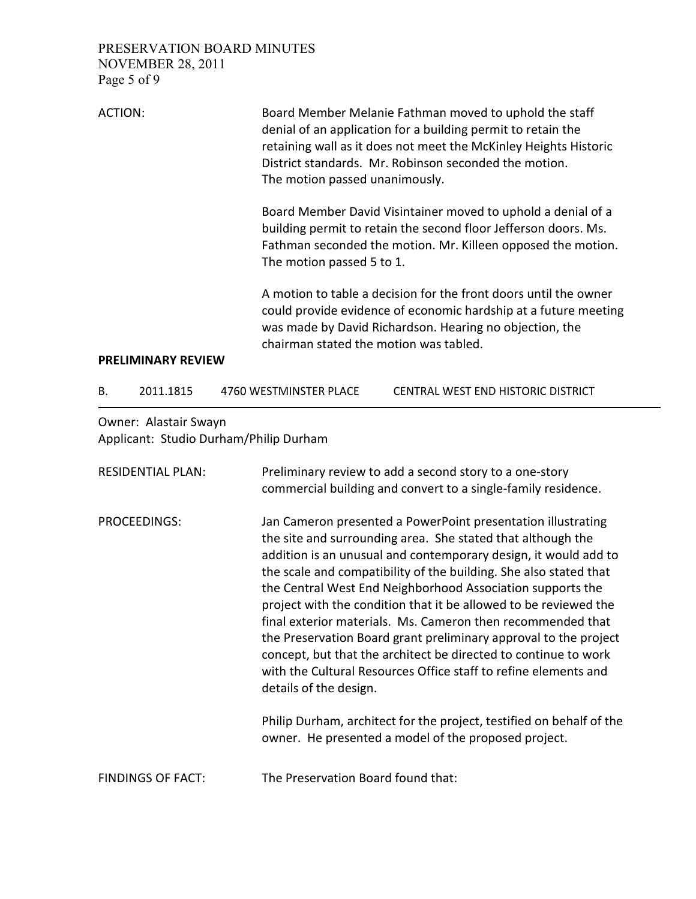PRESERVATION BOARD MINUTES NOVEMBER 28, 2011 Page 5 of 9

| <b>ACTION:</b>            | Board Member Melanie Fathman moved to uphold the staff<br>denial of an application for a building permit to retain the<br>retaining wall as it does not meet the McKinley Heights Historic<br>District standards. Mr. Robinson seconded the motion.<br>The motion passed unanimously. |
|---------------------------|---------------------------------------------------------------------------------------------------------------------------------------------------------------------------------------------------------------------------------------------------------------------------------------|
|                           | Board Member David Visintainer moved to uphold a denial of a<br>building permit to retain the second floor Jefferson doors. Ms.<br>Fathman seconded the motion. Mr. Killeen opposed the motion.<br>The motion passed 5 to 1.                                                          |
| <b>PRELIMINARY REVIEW</b> | A motion to table a decision for the front doors until the owner<br>could provide evidence of economic hardship at a future meeting<br>was made by David Richardson. Hearing no objection, the<br>chairman stated the motion was tabled.                                              |

B. 2011.1815 4760 WESTMINSTER PLACE CENTRAL WEST END HISTORIC DISTRICT

Owner: Alastair Swayn Applicant: Studio Durham/Philip Durham

| <b>RESIDENTIAL PLAN:</b> | Preliminary review to add a second story to a one-story<br>commercial building and convert to a single-family residence.                                                                                                                                                                                                                                                                                                                                                                                                                                                                                                                                                                                 |
|--------------------------|----------------------------------------------------------------------------------------------------------------------------------------------------------------------------------------------------------------------------------------------------------------------------------------------------------------------------------------------------------------------------------------------------------------------------------------------------------------------------------------------------------------------------------------------------------------------------------------------------------------------------------------------------------------------------------------------------------|
| PROCEEDINGS:             | Jan Cameron presented a PowerPoint presentation illustrating<br>the site and surrounding area. She stated that although the<br>addition is an unusual and contemporary design, it would add to<br>the scale and compatibility of the building. She also stated that<br>the Central West End Neighborhood Association supports the<br>project with the condition that it be allowed to be reviewed the<br>final exterior materials. Ms. Cameron then recommended that<br>the Preservation Board grant preliminary approval to the project<br>concept, but that the architect be directed to continue to work<br>with the Cultural Resources Office staff to refine elements and<br>details of the design. |
|                          | Philip Durham, architect for the project, testified on behalf of the<br>owner. He presented a model of the proposed project.                                                                                                                                                                                                                                                                                                                                                                                                                                                                                                                                                                             |
| <b>FINDINGS OF FACT:</b> | The Preservation Board found that:                                                                                                                                                                                                                                                                                                                                                                                                                                                                                                                                                                                                                                                                       |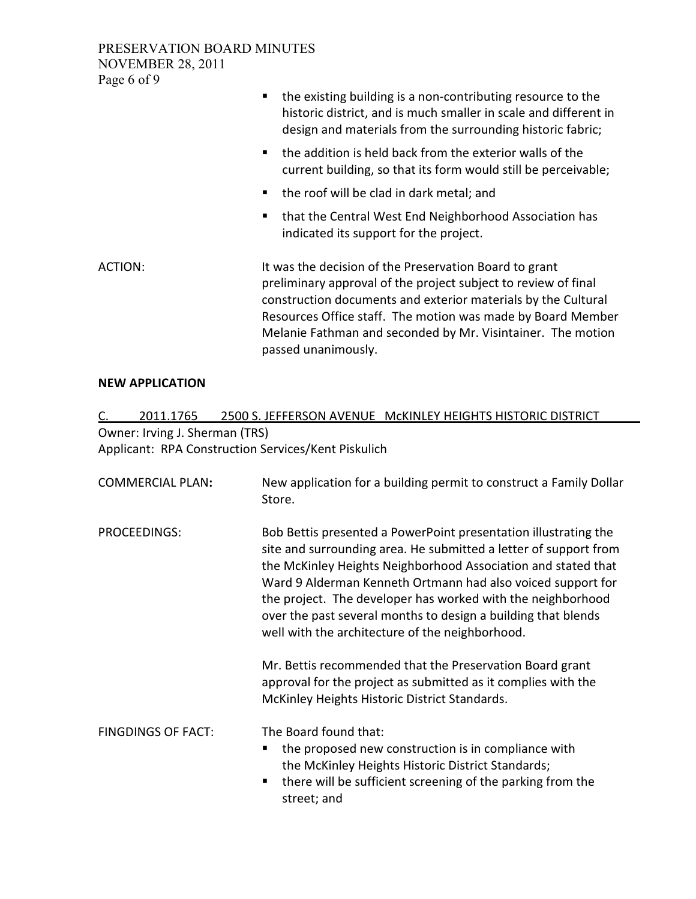PRESERVATION BOARD MINUTES NOVEMBER 28, 2011 Page 6 of 9

|         | the existing building is a non-contributing resource to the<br>п.<br>historic district, and is much smaller in scale and different in<br>design and materials from the surrounding historic fabric;                                                                                                                                            |
|---------|------------------------------------------------------------------------------------------------------------------------------------------------------------------------------------------------------------------------------------------------------------------------------------------------------------------------------------------------|
|         | the addition is held back from the exterior walls of the<br>current building, so that its form would still be perceivable;                                                                                                                                                                                                                     |
|         | the roof will be clad in dark metal; and                                                                                                                                                                                                                                                                                                       |
|         | that the Central West End Neighborhood Association has<br>٠<br>indicated its support for the project.                                                                                                                                                                                                                                          |
| ACTION: | It was the decision of the Preservation Board to grant<br>preliminary approval of the project subject to review of final<br>construction documents and exterior materials by the Cultural<br>Resources Office staff. The motion was made by Board Member<br>Melanie Fathman and seconded by Mr. Visintainer. The motion<br>passed unanimously. |

# NEW APPLICATION

C. 2011.1765 2500 S. JEFFERSON AVENUE McKINLEY HEIGHTS HISTORIC DISTRICT Owner: Irving J. Sherman (TRS) Applicant: RPA Construction Services/Kent Piskulich

| <b>COMMERCIAL PLAN:</b>   | New application for a building permit to construct a Family Dollar<br>Store.                                                                                                                                                                                                                                                                                                                                                                           |
|---------------------------|--------------------------------------------------------------------------------------------------------------------------------------------------------------------------------------------------------------------------------------------------------------------------------------------------------------------------------------------------------------------------------------------------------------------------------------------------------|
| PROCEEDINGS:              | Bob Bettis presented a PowerPoint presentation illustrating the<br>site and surrounding area. He submitted a letter of support from<br>the McKinley Heights Neighborhood Association and stated that<br>Ward 9 Alderman Kenneth Ortmann had also voiced support for<br>the project. The developer has worked with the neighborhood<br>over the past several months to design a building that blends<br>well with the architecture of the neighborhood. |
|                           | Mr. Bettis recommended that the Preservation Board grant<br>approval for the project as submitted as it complies with the<br>McKinley Heights Historic District Standards.                                                                                                                                                                                                                                                                             |
| <b>FINGDINGS OF FACT:</b> | The Board found that:<br>the proposed new construction is in compliance with<br>п<br>the McKinley Heights Historic District Standards;<br>there will be sufficient screening of the parking from the<br>٠<br>street; and                                                                                                                                                                                                                               |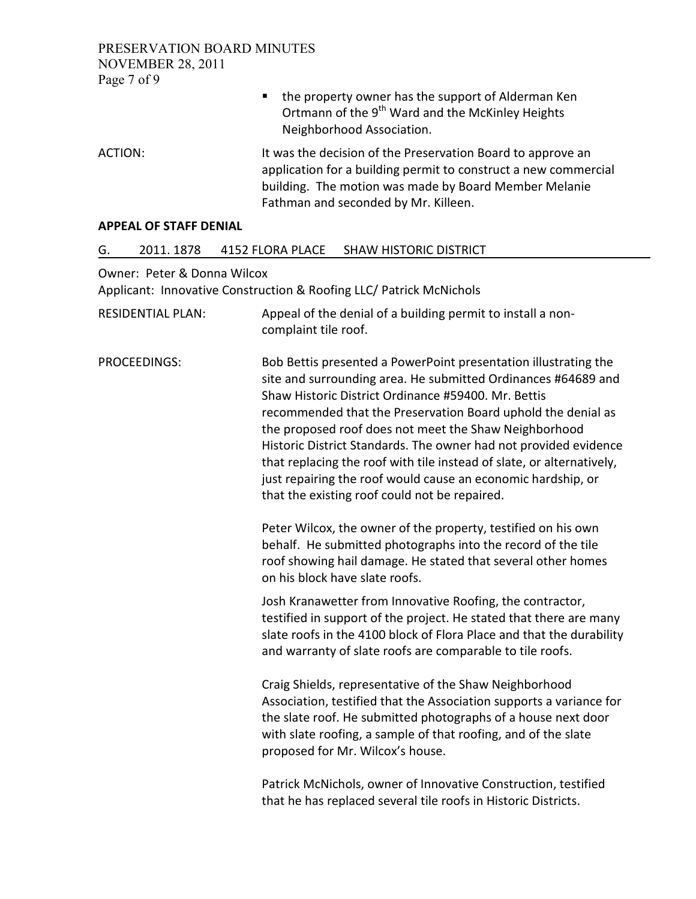PRESERVATION BOARD MINUTES NOVEMBER 28, 2011 Page 7 of 9

- the property owner has the support of Alderman Ken Ortmann of the  $9<sup>th</sup>$  Ward and the McKinley Heights Neighborhood Association.
- ACTION: It was the decision of the Preservation Board to approve an application for a building permit to construct a new commercial building. The motion was made by Board Member Melanie Fathman and seconded by Mr. Killeen.

#### APPEAL OF STAFF DENIAL

# G. 2011. 1878 4152 FLORA PLACE SHAW HISTORIC DISTRICT

#### Owner: Peter & Donna Wilcox

Applicant: Innovative Construction & Roofing LLC/ Patrick McNichols

RESIDENTIAL PLAN: Appeal of the denial of a building permit to install a noncomplaint tile roof. PROCEEDINGS: Bob Bettis presented a PowerPoint presentation illustrating the site and surrounding area. He submitted Ordinances #64689 and Shaw Historic District Ordinance #59400. Mr. Bettis recommended that the Preservation Board uphold the denial as the proposed roof does not meet the Shaw Neighborhood Historic District Standards. The owner had not provided evidence that replacing the roof with tile instead of slate, or alternatively, just repairing the roof would cause an economic hardship, or that the existing roof could not be repaired. Peter Wilcox, the owner of the property, testified on his own behalf. He submitted photographs into the record of the tile roof showing hail damage. He stated that several other homes

on his block have slate roofs.

Josh Kranawetter from Innovative Roofing, the contractor, testified in support of the project. He stated that there are many slate roofs in the 4100 block of Flora Place and that the durability and warranty of slate roofs are comparable to tile roofs.

Craig Shields, representative of the Shaw Neighborhood Association, testified that the Association supports a variance for the slate roof. He submitted photographs of a house next door with slate roofing, a sample of that roofing, and of the slate proposed for Mr. Wilcox's house.

Patrick McNichols, owner of Innovative Construction, testified that he has replaced several tile roofs in Historic Districts.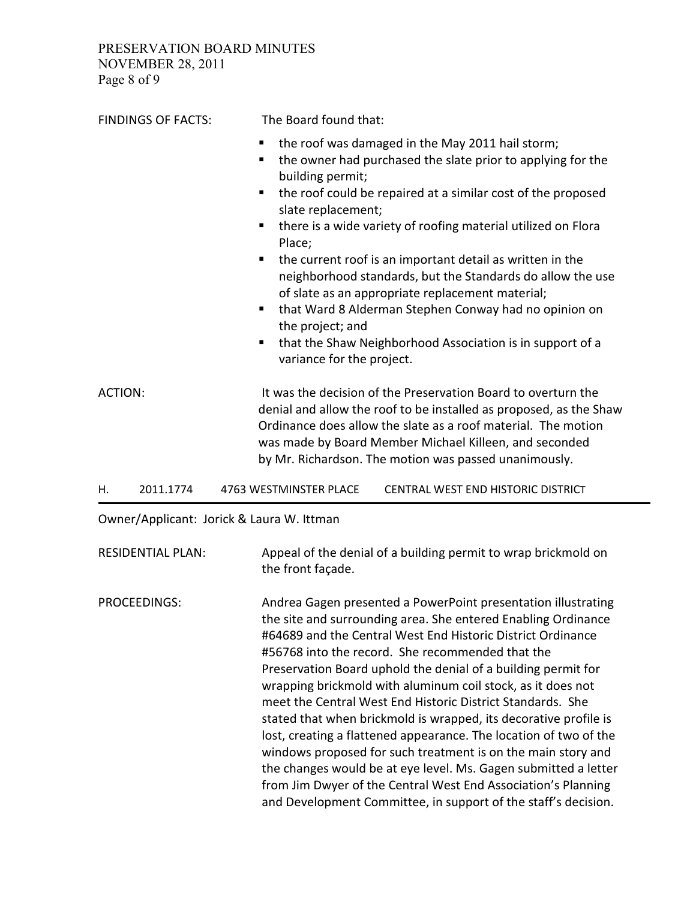PRESERVATION BOARD MINUTES NOVEMBER 28, 2011 Page 8 of 9

| <b>FINDINGS OF FACTS:</b> | The Board found that:                                                                                                                                                                                                                                                                                                                                                                                                                                                                                                                                                                                                                                                                          |
|---------------------------|------------------------------------------------------------------------------------------------------------------------------------------------------------------------------------------------------------------------------------------------------------------------------------------------------------------------------------------------------------------------------------------------------------------------------------------------------------------------------------------------------------------------------------------------------------------------------------------------------------------------------------------------------------------------------------------------|
|                           | the roof was damaged in the May 2011 hail storm;<br>٠<br>the owner had purchased the slate prior to applying for the<br>٠<br>building permit;<br>the roof could be repaired at a similar cost of the proposed<br>٠<br>slate replacement;<br>there is a wide variety of roofing material utilized on Flora<br>٠<br>Place;<br>the current roof is an important detail as written in the<br>п<br>neighborhood standards, but the Standards do allow the use<br>of slate as an appropriate replacement material;<br>that Ward 8 Alderman Stephen Conway had no opinion on<br>п.<br>the project; and<br>that the Shaw Neighborhood Association is in support of a<br>٠<br>variance for the project. |
| <b>ACTION:</b>            | It was the decision of the Preservation Board to overturn the<br>denial and allow the roof to be installed as proposed, as the Shaw<br>Ordinance does allow the slate as a roof material. The motion<br>was made by Board Member Michael Killeen, and seconded<br>by Mr. Richardson. The motion was passed unanimously.                                                                                                                                                                                                                                                                                                                                                                        |

H. 2011.1774 4763 WESTMINSTER PLACE CENTRAL WEST END HISTORIC DISTRICT

Owner/Applicant: Jorick & Laura W. Ittman

RESIDENTIAL PLAN: Appeal of the denial of a building permit to wrap brickmold on the front façade.

PROCEEDINGS: Andrea Gagen presented a PowerPoint presentation illustrating the site and surrounding area. She entered Enabling Ordinance #64689 and the Central West End Historic District Ordinance #56768 into the record. She recommended that the Preservation Board uphold the denial of a building permit for wrapping brickmold with aluminum coil stock, as it does not meet the Central West End Historic District Standards. She stated that when brickmold is wrapped, its decorative profile is lost, creating a flattened appearance. The location of two of the windows proposed for such treatment is on the main story and the changes would be at eye level. Ms. Gagen submitted a letter from Jim Dwyer of the Central West End Association's Planning and Development Committee, in support of the staff's decision.